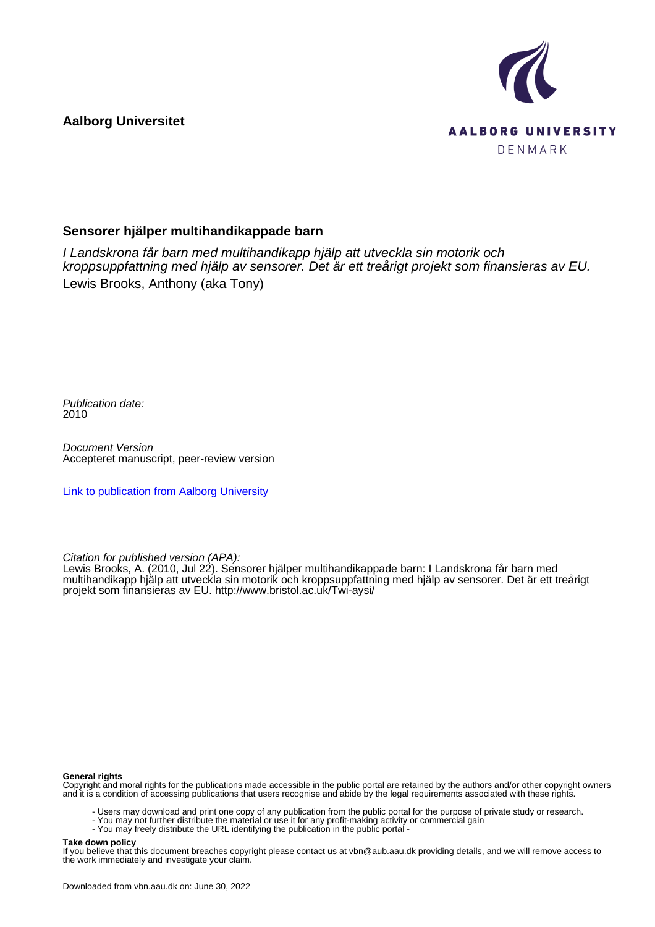**Aalborg Universitet**



## **Sensorer hjälper multihandikappade barn**

I Landskrona får barn med multihandikapp hjälp att utveckla sin motorik och kroppsuppfattning med hjälp av sensorer. Det är ett treårigt projekt som finansieras av EU. Lewis Brooks, Anthony (aka Tony)

Publication date: 2010

Document Version Accepteret manuscript, peer-review version

[Link to publication from Aalborg University](https://vbn.aau.dk/en/publications/faf98a96-553d-4bd2-93f5-e540aeb36753)

Citation for published version (APA):

Lewis Brooks, A. (2010, Jul 22). Sensorer hjälper multihandikappade barn: I Landskrona får barn med multihandikapp hjälp att utveckla sin motorik och kroppsuppfattning med hjälp av sensorer. Det är ett treårigt projekt som finansieras av EU. <http://www.bristol.ac.uk/Twi-aysi/>

#### **General rights**

Copyright and moral rights for the publications made accessible in the public portal are retained by the authors and/or other copyright owners and it is a condition of accessing publications that users recognise and abide by the legal requirements associated with these rights.

- Users may download and print one copy of any publication from the public portal for the purpose of private study or research.
- You may not further distribute the material or use it for any profit-making activity or commercial gain
- You may freely distribute the URL identifying the publication in the public portal -

#### **Take down policy**

If you believe that this document breaches copyright please contact us at vbn@aub.aau.dk providing details, and we will remove access to the work immediately and investigate your claim.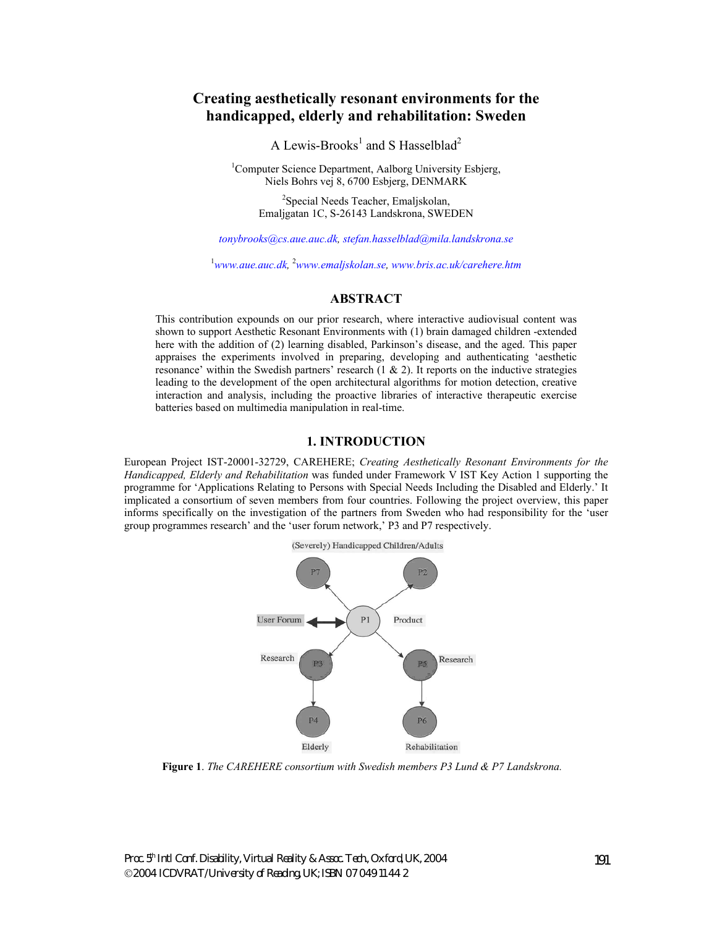# **Creating aesthetically resonant environments for the handicapped, elderly and rehabilitation: Sweden**

A Lewis-Brooks<sup>1</sup> and S Hasselblad<sup>2</sup>

<sup>1</sup>Computer Science Department, Aalborg University Esbjerg, Niels Bohrs vej 8, 6700 Esbjerg, DENMARK

> <sup>2</sup>Special Needs Teacher, Emaljskolan, Emaljgatan 1C, S-26143 Landskrona, SWEDEN

*tonybrooks@cs.aue.auc.dk, stefan.hasselblad@mila.landskrona.se* 

1 *www.aue.auc.dk,* <sup>2</sup> *www.emaljskolan.se, www.bris.ac.uk/carehere.htm*

### **ABSTRACT**

This contribution expounds on our prior research, where interactive audiovisual content was shown to support Aesthetic Resonant Environments with (1) brain damaged children -extended here with the addition of (2) learning disabled, Parkinson's disease, and the aged. This paper appraises the experiments involved in preparing, developing and authenticating 'aesthetic resonance' within the Swedish partners' research  $(1 \& 2)$ . It reports on the inductive strategies leading to the development of the open architectural algorithms for motion detection, creative interaction and analysis, including the proactive libraries of interactive therapeutic exercise batteries based on multimedia manipulation in real-time.

### **1. INTRODUCTION**

European Project IST-20001-32729, CAREHERE; *Creating Aesthetically Resonant Environments for the Handicapped, Elderly and Rehabilitation* was funded under Framework V IST Key Action 1 supporting the programme for 'Applications Relating to Persons with Special Needs Including the Disabled and Elderly.' It implicated a consortium of seven members from four countries. Following the project overview, this paper informs specifically on the investigation of the partners from Sweden who had responsibility for the 'user group programmes research' and the 'user forum network,' P3 and P7 respectively.



**Figure 1**. *The CAREHERE consortium with Swedish members P3 Lund & P7 Landskrona.*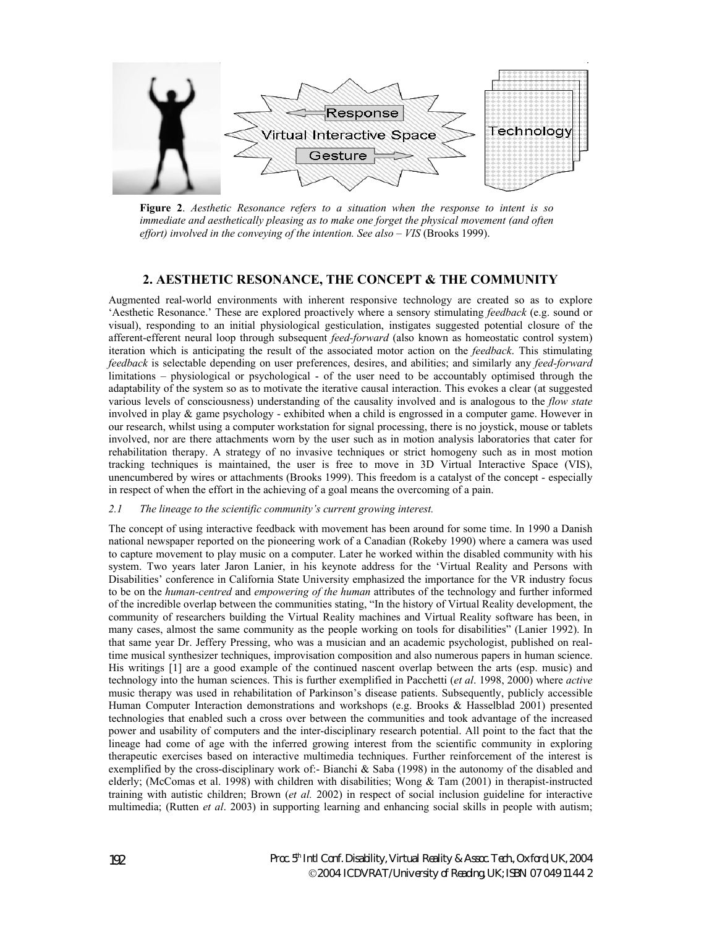

**Figure 2**. *Aesthetic Resonance refers to a situation when the response to intent is so immediate and aesthetically pleasing as to make one forget the physical movement (and often effort) involved in the conveying of the intention. See also – VIS* (Brooks 1999).

### **2. AESTHETIC RESONANCE, THE CONCEPT & THE COMMUNITY**

Augmented real-world environments with inherent responsive technology are created so as to explore 'Aesthetic Resonance.' These are explored proactively where a sensory stimulating *feedback* (e.g. sound or visual), responding to an initial physiological gesticulation, instigates suggested potential closure of the afferent-efferent neural loop through subsequent *feed-forward* (also known as homeostatic control system) iteration which is anticipating the result of the associated motor action on the *feedback*. This stimulating *feedback* is selectable depending on user preferences, desires, and abilities; and similarly any *feed-forward* limitations – physiological or psychological - of the user need to be accountably optimised through the adaptability of the system so as to motivate the iterative causal interaction. This evokes a clear (at suggested various levels of consciousness) understanding of the causality involved and is analogous to the *flow state* involved in play & game psychology - exhibited when a child is engrossed in a computer game. However in our research, whilst using a computer workstation for signal processing, there is no joystick, mouse or tablets involved, nor are there attachments worn by the user such as in motion analysis laboratories that cater for rehabilitation therapy. A strategy of no invasive techniques or strict homogeny such as in most motion tracking techniques is maintained, the user is free to move in 3D Virtual Interactive Space (VIS), unencumbered by wires or attachments (Brooks 1999). This freedom is a catalyst of the concept - especially in respect of when the effort in the achieving of a goal means the overcoming of a pain.

#### *2.1 The lineage to the scientific community's current growing interest.*

The concept of using interactive feedback with movement has been around for some time. In 1990 a Danish national newspaper reported on the pioneering work of a Canadian (Rokeby 1990) where a camera was used to capture movement to play music on a computer. Later he worked within the disabled community with his system. Two years later Jaron Lanier, in his keynote address for the 'Virtual Reality and Persons with Disabilities' conference in California State University emphasized the importance for the VR industry focus to be on the *human-centred* and *empowering of the human* attributes of the technology and further informed of the incredible overlap between the communities stating, "In the history of Virtual Reality development, the community of researchers building the Virtual Reality machines and Virtual Reality software has been, in many cases, almost the same community as the people working on tools for disabilities" (Lanier 1992). In that same year Dr. Jeffery Pressing, who was a musician and an academic psychologist, published on realtime musical synthesizer techniques, improvisation composition and also numerous papers in human science. His writings [1] are a good example of the continued nascent overlap between the arts (esp. music) and technology into the human sciences. This is further exemplified in Pacchetti (*et al*. 1998, 2000) where *active*  music therapy was used in rehabilitation of Parkinson's disease patients. Subsequently, publicly accessible Human Computer Interaction demonstrations and workshops (e.g. Brooks & Hasselblad 2001) presented technologies that enabled such a cross over between the communities and took advantage of the increased power and usability of computers and the inter-disciplinary research potential. All point to the fact that the lineage had come of age with the inferred growing interest from the scientific community in exploring therapeutic exercises based on interactive multimedia techniques. Further reinforcement of the interest is exemplified by the cross-disciplinary work of:- Bianchi & Saba (1998) in the autonomy of the disabled and elderly; (McComas et al. 1998) with children with disabilities; Wong & Tam (2001) in therapist-instructed training with autistic children; Brown (*et al.* 2002) in respect of social inclusion guideline for interactive multimedia; (Rutten *et al*. 2003) in supporting learning and enhancing social skills in people with autism;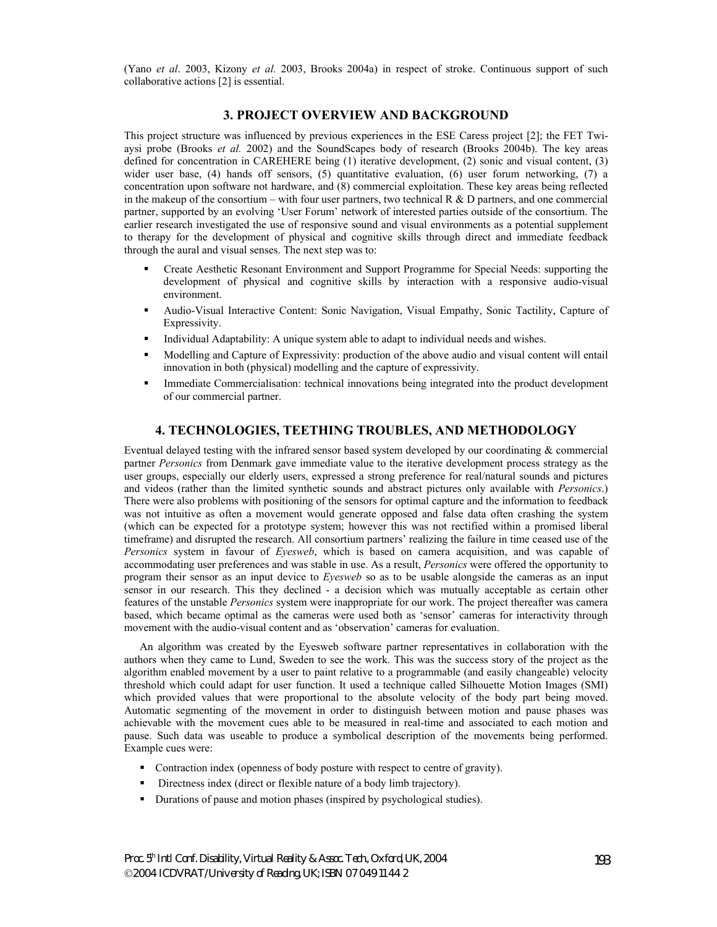(Yano *et al*. 2003, Kizony *et al.* 2003, Brooks 2004a) in respect of stroke. Continuous support of such collaborative actions [2] is essential.

### **3. PROJECT OVERVIEW AND BACKGROUND**

This project structure was influenced by previous experiences in the ESE Caress project [2]; the FET Twiaysi probe (Brooks *et al.* 2002) and the SoundScapes body of research (Brooks 2004b). The key areas defined for concentration in CAREHERE being (1) iterative development, (2) sonic and visual content, (3) wider user base, (4) hands off sensors, (5) quantitative evaluation, (6) user forum networking, (7) a concentration upon software not hardware, and (8) commercial exploitation. These key areas being reflected in the makeup of the consortium – with four user partners, two technical R  $\&$  D partners, and one commercial partner, supported by an evolving 'User Forum' network of interested parties outside of the consortium. The earlier research investigated the use of responsive sound and visual environments as a potential supplement to therapy for the development of physical and cognitive skills through direct and immediate feedback through the aural and visual senses. The next step was to:

- Create Aesthetic Resonant Environment and Support Programme for Special Needs: supporting the development of physical and cognitive skills by interaction with a responsive audio-visual environment.
- Audio-Visual Interactive Content: Sonic Navigation, Visual Empathy, Sonic Tactility, Capture of Expressivity.
- Individual Adaptability: A unique system able to adapt to individual needs and wishes.
- Modelling and Capture of Expressivity: production of the above audio and visual content will entail innovation in both (physical) modelling and the capture of expressivity.
- Immediate Commercialisation: technical innovations being integrated into the product development of our commercial partner.

#### **4. TECHNOLOGIES, TEETHING TROUBLES, AND METHODOLOGY**

Eventual delayed testing with the infrared sensor based system developed by our coordinating & commercial partner *Personics* from Denmark gave immediate value to the iterative development process strategy as the user groups, especially our elderly users, expressed a strong preference for real/natural sounds and pictures and videos (rather than the limited synthetic sounds and abstract pictures only available with *Personics*.) There were also problems with positioning of the sensors for optimal capture and the information to feedback was not intuitive as often a movement would generate opposed and false data often crashing the system (which can be expected for a prototype system; however this was not rectified within a promised liberal timeframe) and disrupted the research. All consortium partners' realizing the failure in time ceased use of the *Personics* system in favour of *Eyesweb*, which is based on camera acquisition, and was capable of accommodating user preferences and was stable in use. As a result, *Personics* were offered the opportunity to program their sensor as an input device to *Eyesweb* so as to be usable alongside the cameras as an input sensor in our research. This they declined - a decision which was mutually acceptable as certain other features of the unstable *Personics* system were inappropriate for our work. The project thereafter was camera based, which became optimal as the cameras were used both as 'sensor' cameras for interactivity through movement with the audio-visual content and as 'observation' cameras for evaluation.

An algorithm was created by the Eyesweb software partner representatives in collaboration with the authors when they came to Lund, Sweden to see the work. This was the success story of the project as the algorithm enabled movement by a user to paint relative to a programmable (and easily changeable) velocity threshold which could adapt for user function. It used a technique called Silhouette Motion Images (SMI) which provided values that were proportional to the absolute velocity of the body part being moved. Automatic segmenting of the movement in order to distinguish between motion and pause phases was achievable with the movement cues able to be measured in real-time and associated to each motion and pause. Such data was useable to produce a symbolical description of the movements being performed. Example cues were:

- Contraction index (openness of body posture with respect to centre of gravity).
- Directness index (direct or flexible nature of a body limb trajectory).
- Durations of pause and motion phases (inspired by psychological studies).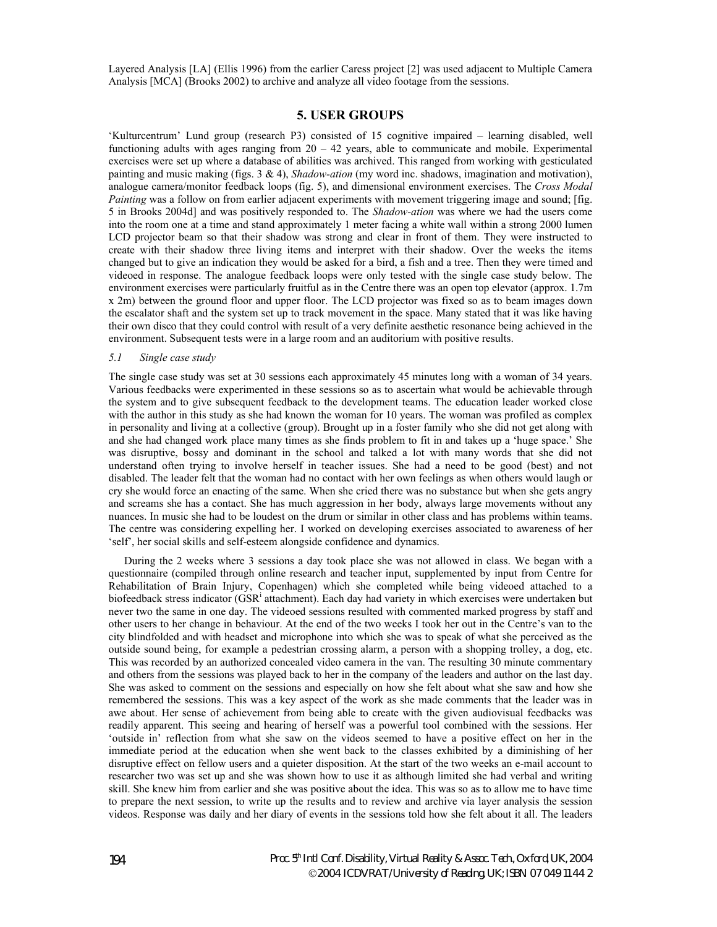Layered Analysis [LA] (Ellis 1996) from the earlier Caress project [2] was used adjacent to Multiple Camera Analysis [MCA] (Brooks 2002) to archive and analyze all video footage from the sessions.

## **5. USER GROUPS**

'Kulturcentrum' Lund group (research P3) consisted of 15 cognitive impaired – learning disabled, well functioning adults with ages ranging from  $20 - 42$  years, able to communicate and mobile. Experimental exercises were set up where a database of abilities was archived. This ranged from working with gesticulated painting and music making (figs. 3 & 4), *Shadow-ation* (my word inc. shadows, imagination and motivation), analogue camera/monitor feedback loops (fig. 5), and dimensional environment exercises. The *Cross Modal Painting* was a follow on from earlier adjacent experiments with movement triggering image and sound; [fig. 5 in Brooks 2004d] and was positively responded to. The *Shadow-ation* was where we had the users come into the room one at a time and stand approximately 1 meter facing a white wall within a strong 2000 lumen LCD projector beam so that their shadow was strong and clear in front of them. They were instructed to create with their shadow three living items and interpret with their shadow. Over the weeks the items changed but to give an indication they would be asked for a bird, a fish and a tree. Then they were timed and videoed in response. The analogue feedback loops were only tested with the single case study below. The environment exercises were particularly fruitful as in the Centre there was an open top elevator (approx. 1.7m x 2m) between the ground floor and upper floor. The LCD projector was fixed so as to beam images down the escalator shaft and the system set up to track movement in the space. Many stated that it was like having their own disco that they could control with result of a very definite aesthetic resonance being achieved in the environment. Subsequent tests were in a large room and an auditorium with positive results.

#### *5.1 Single case study*

The single case study was set at 30 sessions each approximately 45 minutes long with a woman of 34 years. Various feedbacks were experimented in these sessions so as to ascertain what would be achievable through the system and to give subsequent feedback to the development teams. The education leader worked close with the author in this study as she had known the woman for 10 years. The woman was profiled as complex in personality and living at a collective (group). Brought up in a foster family who she did not get along with and she had changed work place many times as she finds problem to fit in and takes up a 'huge space.' She was disruptive, bossy and dominant in the school and talked a lot with many words that she did not understand often trying to involve herself in teacher issues. She had a need to be good (best) and not disabled. The leader felt that the woman had no contact with her own feelings as when others would laugh or cry she would force an enacting of the same. When she cried there was no substance but when she gets angry and screams she has a contact. She has much aggression in her body, always large movements without any nuances. In music she had to be loudest on the drum or similar in other class and has problems within teams. The centre was considering expelling her. I worked on developing exercises associated to awareness of her 'self', her social skills and self-esteem alongside confidence and dynamics.

During the 2 weeks where 3 sessions a day took place she was not allowed in class. We began with a questionnaire (compiled through online research and teacher input, supplemented by input from Centre for Rehabilitation of Brain Injury, Copenhagen) which she completed while being videoed attached to a biofeedback stress indicator (GSR<sup>i</sup> attachment). Each day had variety in which exercises were undertaken but never two the same in one day. The videoed sessions resulted with commented marked progress by staff and other users to her change in behaviour. At the end of the two weeks I took her out in the Centre's van to the city blindfolded and with headset and microphone into which she was to speak of what she perceived as the outside sound being, for example a pedestrian crossing alarm, a person with a shopping trolley, a dog, etc. This was recorded by an authorized concealed video camera in the van. The resulting 30 minute commentary and others from the sessions was played back to her in the company of the leaders and author on the last day. She was asked to comment on the sessions and especially on how she felt about what she saw and how she remembered the sessions. This was a key aspect of the work as she made comments that the leader was in awe about. Her sense of achievement from being able to create with the given audiovisual feedbacks was readily apparent. This seeing and hearing of herself was a powerful tool combined with the sessions. Her 'outside in' reflection from what she saw on the videos seemed to have a positive effect on her in the immediate period at the education when she went back to the classes exhibited by a diminishing of her disruptive effect on fellow users and a quieter disposition. At the start of the two weeks an e-mail account to researcher two was set up and she was shown how to use it as although limited she had verbal and writing skill. She knew him from earlier and she was positive about the idea. This was so as to allow me to have time to prepare the next session, to write up the results and to review and archive via layer analysis the session videos. Response was daily and her diary of events in the sessions told how she felt about it all. The leaders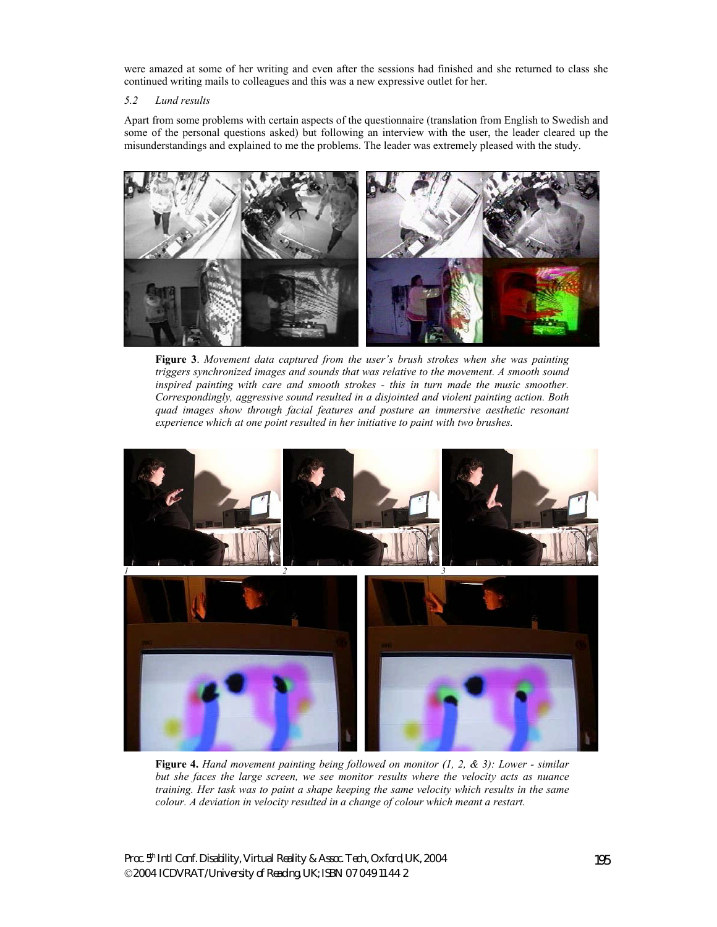were amazed at some of her writing and even after the sessions had finished and she returned to class she continued writing mails to colleagues and this was a new expressive outlet for her.

### *5.2 Lund results*

Apart from some problems with certain aspects of the questionnaire (translation from English to Swedish and some of the personal questions asked) but following an interview with the user, the leader cleared up the misunderstandings and explained to me the problems. The leader was extremely pleased with the study.



**Figure 3**. *Movement data captured from the user's brush strokes when she was painting triggers synchronized images and sounds that was relative to the movement. A smooth sound inspired painting with care and smooth strokes - this in turn made the music smoother. Correspondingly, aggressive sound resulted in a disjointed and violent painting action. Both quad images show through facial features and posture an immersive aesthetic resonant experience which at one point resulted in her initiative to paint with two brushes.*



**Figure 4.** *Hand movement painting being followed on monitor (1, 2, & 3): Lower - similar but she faces the large screen, we see monitor results where the velocity acts as nuance training. Her task was to paint a shape keeping the same velocity which results in the same colour. A deviation in velocity resulted in a change of colour which meant a restart.*

Proc. 5<sup>th</sup> Intl Conf. Disability, Virtual Reality & Assoc. Tech., Oxford, UK, 2004 2004 ICDVRAT/University of Reading, UK; ISBN 07 049 11 44 2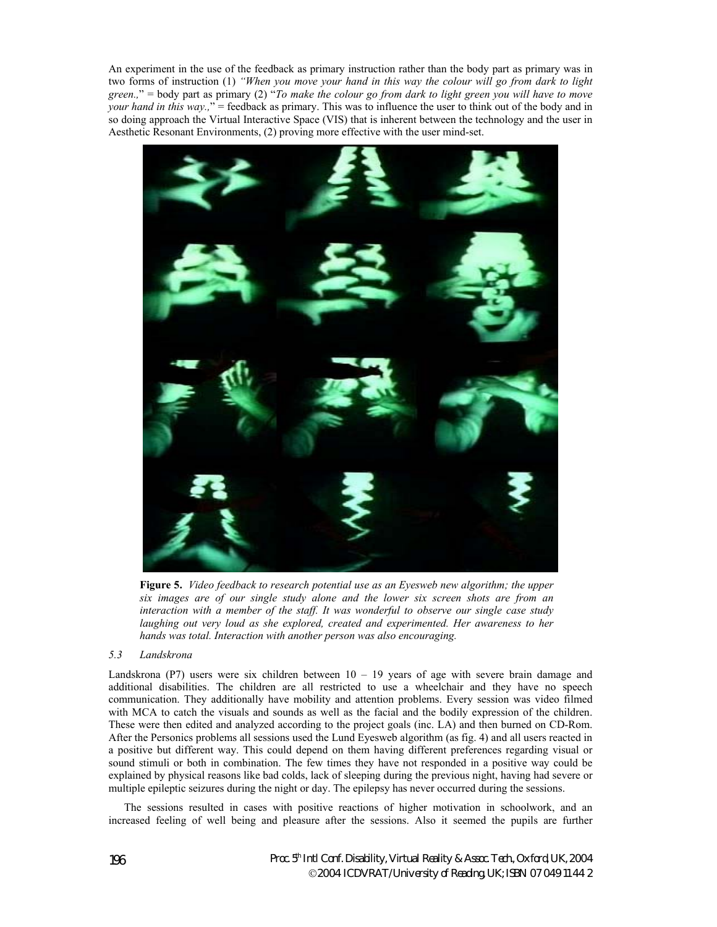An experiment in the use of the feedback as primary instruction rather than the body part as primary was in two forms of instruction (1) *"When you move your hand in this way the colour will go from dark to light green.,*" = body part as primary (2) "*To make the colour go from dark to light green you will have to move your hand in this way.*," = feedback as primary. This was to influence the user to think out of the body and in so doing approach the Virtual Interactive Space (VIS) that is inherent between the technology and the user in Aesthetic Resonant Environments, (2) proving more effective with the user mind-set.



**Figure 5.** *Video feedback to research potential use as an Eyesweb new algorithm; the upper six images are of our single study alone and the lower six screen shots are from an interaction with a member of the staff. It was wonderful to observe our single case study laughing out very loud as she explored, created and experimented. Her awareness to her hands was total. Interaction with another person was also encouraging.* 

#### *5.3 Landskrona*

Landskrona (P7) users were six children between  $10 - 19$  years of age with severe brain damage and additional disabilities. The children are all restricted to use a wheelchair and they have no speech communication. They additionally have mobility and attention problems. Every session was video filmed with MCA to catch the visuals and sounds as well as the facial and the bodily expression of the children. These were then edited and analyzed according to the project goals (inc. LA) and then burned on CD-Rom. After the Personics problems all sessions used the Lund Eyesweb algorithm (as fig. 4) and all users reacted in a positive but different way. This could depend on them having different preferences regarding visual or sound stimuli or both in combination. The few times they have not responded in a positive way could be explained by physical reasons like bad colds, lack of sleeping during the previous night, having had severe or multiple epileptic seizures during the night or day. The epilepsy has never occurred during the sessions.

The sessions resulted in cases with positive reactions of higher motivation in schoolwork, and an increased feeling of well being and pleasure after the sessions. Also it seemed the pupils are further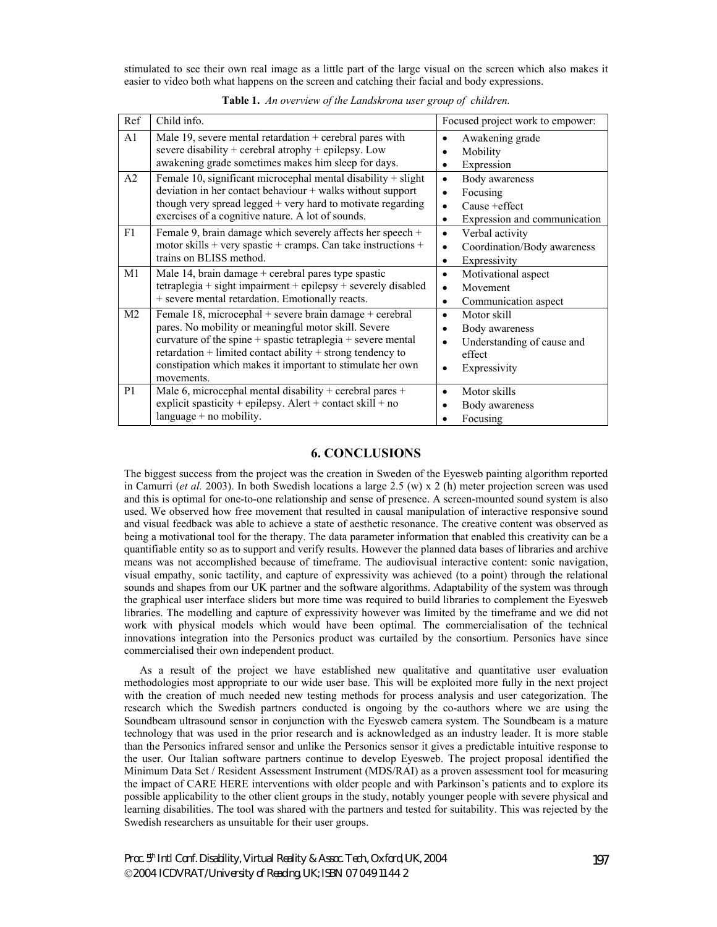stimulated to see their own real image as a little part of the large visual on the screen which also makes it easier to video both what happens on the screen and catching their facial and body expressions.

| Ref            | Child info.                                                                                                                                                                                                                                                                                                               | Focused project work to empower:                                                                             |
|----------------|---------------------------------------------------------------------------------------------------------------------------------------------------------------------------------------------------------------------------------------------------------------------------------------------------------------------------|--------------------------------------------------------------------------------------------------------------|
| A1             | Male 19, severe mental retardation $+$ cerebral pares with<br>severe disability + cerebral atrophy + epilepsy. Low<br>awakening grade sometimes makes him sleep for days.                                                                                                                                                 | Awakening grade<br>Mobility<br>Expression<br>٠                                                               |
| A2             | Female 10, significant microcephal mental disability $+$ slight<br>deviation in her contact behaviour + walks without support<br>though very spread legged $+$ very hard to motivate regarding<br>exercises of a cognitive nature. A lot of sounds.                                                                       | Body awareness<br>٠<br>Focusing<br>Cause + effect<br>Expression and communication<br>٠                       |
| F1             | Female 9, brain damage which severely affects her speech $+$<br>motor skills + very spastic + cramps. Can take instructions +<br>trains on BLISS method.                                                                                                                                                                  | Verbal activity<br>$\bullet$<br>Coordination/Body awareness<br>٠<br>Expressivity<br>٠                        |
| M1             | Male 14, brain damage + cerebral pares type spastic<br>$tetraplegia + sight impairment + epilepsy + severely disabled$<br>+ severe mental retardation. Emotionally reacts.                                                                                                                                                | Motivational aspect<br>$\bullet$<br>Movement<br>$\bullet$<br>Communication aspect<br>٠                       |
| M <sub>2</sub> | Female 18, microcephal + severe brain damage + cerebral<br>pares. No mobility or meaningful motor skill. Severe<br>curvature of the spine + spastic tetraplegia + severe mental<br>retardation + limited contact ability + strong tendency to<br>constipation which makes it important to stimulate her own<br>movements. | Motor skill<br>٠<br>Body awareness<br>Understanding of cause and<br>$\bullet$<br>effect<br>Expressivity<br>٠ |
| P <sub>1</sub> | Male 6, microcephal mental disability + cerebral pares +<br>explicit spasticity + epilepsy. Alert + contact skill + no<br>language $+$ no mobility.                                                                                                                                                                       | Motor skills<br>Body awareness<br>Focusing                                                                   |

**Table 1.** *An overview of the Landskrona user group of children.*

### **6. CONCLUSIONS**

The biggest success from the project was the creation in Sweden of the Eyesweb painting algorithm reported in Camurri (*et al.* 2003). In both Swedish locations a large 2.5 (w) x 2 (h) meter projection screen was used and this is optimal for one-to-one relationship and sense of presence. A screen-mounted sound system is also used. We observed how free movement that resulted in causal manipulation of interactive responsive sound and visual feedback was able to achieve a state of aesthetic resonance. The creative content was observed as being a motivational tool for the therapy. The data parameter information that enabled this creativity can be a quantifiable entity so as to support and verify results. However the planned data bases of libraries and archive means was not accomplished because of timeframe. The audiovisual interactive content: sonic navigation, visual empathy, sonic tactility, and capture of expressivity was achieved (to a point) through the relational sounds and shapes from our UK partner and the software algorithms. Adaptability of the system was through the graphical user interface sliders but more time was required to build libraries to complement the Eyesweb libraries. The modelling and capture of expressivity however was limited by the timeframe and we did not work with physical models which would have been optimal. The commercialisation of the technical innovations integration into the Personics product was curtailed by the consortium. Personics have since commercialised their own independent product.

As a result of the project we have established new qualitative and quantitative user evaluation methodologies most appropriate to our wide user base. This will be exploited more fully in the next project with the creation of much needed new testing methods for process analysis and user categorization. The research which the Swedish partners conducted is ongoing by the co-authors where we are using the Soundbeam ultrasound sensor in conjunction with the Eyesweb camera system. The Soundbeam is a mature technology that was used in the prior research and is acknowledged as an industry leader. It is more stable than the Personics infrared sensor and unlike the Personics sensor it gives a predictable intuitive response to the user. Our Italian software partners continue to develop Eyesweb. The project proposal identified the Minimum Data Set / Resident Assessment Instrument (MDS/RAI) as a proven assessment tool for measuring the impact of CARE HERE interventions with older people and with Parkinson's patients and to explore its possible applicability to the other client groups in the study, notably younger people with severe physical and learning disabilities. The tool was shared with the partners and tested for suitability. This was rejected by the Swedish researchers as unsuitable for their user groups.